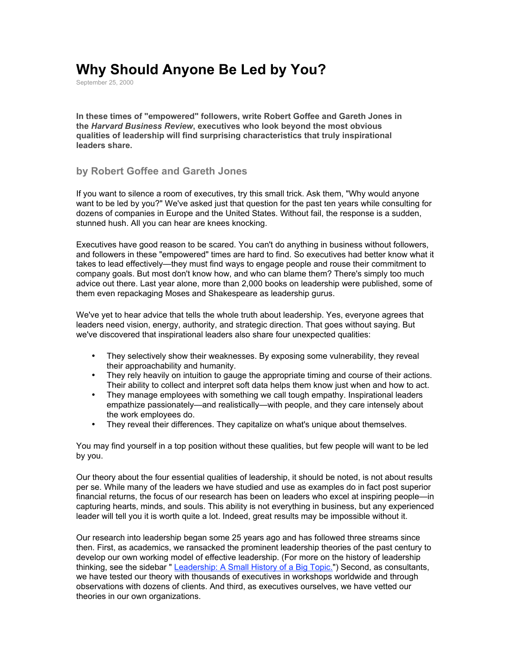# **Why Should Anyone Be Led by You?**

September 25, 2000

**In these times of "empowered" followers, write Robert Goffee and Gareth Jones in the** *Harvard Business Review***, executives who look beyond the most obvious qualities of leadership will find surprising characteristics that truly inspirational leaders share.**

### **by Robert Goffee and Gareth Jones**

If you want to silence a room of executives, try this small trick. Ask them, "Why would anyone want to be led by you?" We've asked just that question for the past ten years while consulting for dozens of companies in Europe and the United States. Without fail, the response is a sudden, stunned hush. All you can hear are knees knocking.

Executives have good reason to be scared. You can't do anything in business without followers, and followers in these "empowered" times are hard to find. So executives had better know what it takes to lead effectively—they must find ways to engage people and rouse their commitment to company goals. But most don't know how, and who can blame them? There's simply too much advice out there. Last year alone, more than 2,000 books on leadership were published, some of them even repackaging Moses and Shakespeare as leadership gurus.

We've yet to hear advice that tells the whole truth about leadership. Yes, everyone agrees that leaders need vision, energy, authority, and strategic direction. That goes without saying. But we've discovered that inspirational leaders also share four unexpected qualities:

- They selectively show their weaknesses. By exposing some vulnerability, they reveal their approachability and humanity.
- They rely heavily on intuition to gauge the appropriate timing and course of their actions. Their ability to collect and interpret soft data helps them know just when and how to act.
- They manage employees with something we call tough empathy. Inspirational leaders empathize passionately—and realistically—with people, and they care intensely about the work employees do.
- They reveal their differences. They capitalize on what's unique about themselves.

You may find yourself in a top position without these qualities, but few people will want to be led by you.

Our theory about the four essential qualities of leadership, it should be noted, is not about results per se. While many of the leaders we have studied and use as examples do in fact post superior financial returns, the focus of our research has been on leaders who excel at inspiring people—in capturing hearts, minds, and souls. This ability is not everything in business, but any experienced leader will tell you it is worth quite a lot. Indeed, great results may be impossible without it.

Our research into leadership began some 25 years ago and has followed three streams since then. First, as academics, we ransacked the prominent leadership theories of the past century to develop our own working model of effective leadership. (For more on the history of leadership thinking, see the sidebar " Leadership: A Small History of a Big Topic.") Second, as consultants, we have tested our theory with thousands of executives in workshops worldwide and through observations with dozens of clients. And third, as executives ourselves, we have vetted our theories in our own organizations.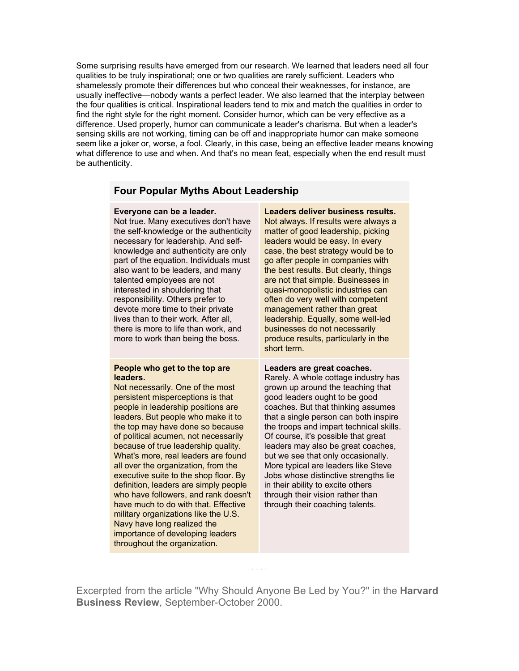Some surprising results have emerged from our research. We learned that leaders need all four qualities to be truly inspirational; one or two qualities are rarely sufficient. Leaders who shamelessly promote their differences but who conceal their weaknesses, for instance, are usually ineffective—nobody wants a perfect leader. We also learned that the interplay between the four qualities is critical. Inspirational leaders tend to mix and match the qualities in order to find the right style for the right moment. Consider humor, which can be very effective as a difference. Used properly, humor can communicate a leader's charisma. But when a leader's sensing skills are not working, timing can be off and inappropriate humor can make someone seem like a joker or, worse, a fool. Clearly, in this case, being an effective leader means knowing what difference to use and when. And that's no mean feat, especially when the end result must be authenticity.

## **Four Popular Myths About Leadership**

#### **Everyone can be a leader.** Not true. Many executives don't have the self-knowledge or the authenticity necessary for leadership. And selfknowledge and authenticity are only part of the equation. Individuals must also want to be leaders, and many talented employees are not interested in shouldering that responsibility. Others prefer to devote more time to their private

lives than to their work. After all, there is more to life than work, and more to work than being the boss.

#### **People who get to the top are leaders.**

Not necessarily. One of the most persistent misperceptions is that people in leadership positions are leaders. But people who make it to the top may have done so because of political acumen, not necessarily because of true leadership quality. What's more, real leaders are found all over the organization, from the executive suite to the shop floor. By definition, leaders are simply people who have followers, and rank doesn't have much to do with that. Effective military organizations like the U.S. Navy have long realized the importance of developing leaders throughout the organization.

#### **Leaders deliver business results.** Not always. If results were always a matter of good leadership, picking leaders would be easy. In every case, the best strategy would be to go after people in companies with the best results. But clearly, things are not that simple. Businesses in quasi-monopolistic industries can often do very well with competent management rather than great leadership. Equally, some well-led businesses do not necessarily produce results, particularly in the short term.

#### **Leaders are great coaches.**

Rarely. A whole cottage industry has grown up around the teaching that good leaders ought to be good coaches. But that thinking assumes that a single person can both inspire the troops and impart technical skills. Of course, it's possible that great leaders may also be great coaches, but we see that only occasionally. More typical are leaders like Steve Jobs whose distinctive strengths lie in their ability to excite others through their vision rather than through their coaching talents.

Excerpted from the article "Why Should Anyone Be Led by You?" in the **Harvard Business Review**, September-October 2000.

· · · ·